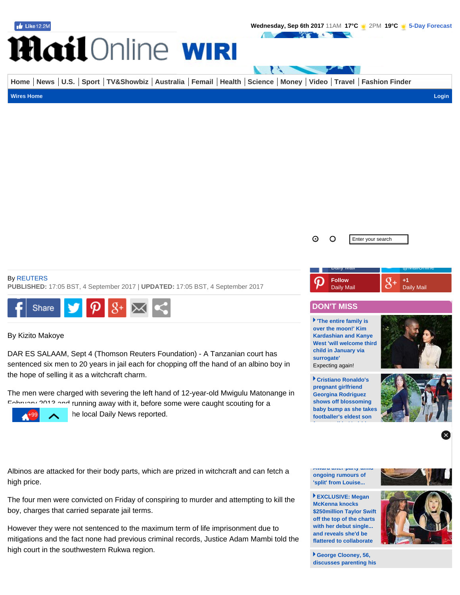

 $\sim$   $\sim$ 

**CONTRACTOR** 

PA.

# **Adil**Online wirl

|                   |  |  |  |  |  | Home   News   U.S.   Sport   TV&Showbiz   Australia   Femail   Health   Science   Money   Video   Travel   Fashion Finder |       |
|-------------------|--|--|--|--|--|---------------------------------------------------------------------------------------------------------------------------|-------|
| <b>Wires Home</b> |  |  |  |  |  |                                                                                                                           | Login |



#### By [REUTERS](http://www.dailymail.co.uk/home/search.html?s=&authornamef=Reuters)

**PUBLISHED:** 17:05 BST, 4 September 2017 | **UPDATED:** 17:05 BST, 4 September 2017



### By Kizito Makoye

DAR ES SALAAM, Sept 4 (Thomson Reuters Foundation) - A Tanzanian court has sentenced six men to 20 years in jail each for chopping off the hand of an albino boy in the hope of selling it as a witchcraft charm.

The men were charged with severing the left hand of 12-year-old Mwigulu Matonange in Eohruary 2012 and running away with it, before some were caught scouting for a



he local Daily News reported.

## Albinos are attacked for their body parts, which are prized in witchcraft and can fetch a high price.

The four men were convicted on Friday of conspiring to murder and attempting to kill the boy, charges that carried separate jail terms.

However they were not sentenced to the maximum term of life imprisonment due to mitigations and the fact none had previous criminal records, Justice Adam Mambi told the high court in the southwestern Rukwa region.

## **DON'T MISS**

**Follow** Daily Mail

**['The entire family is](http://www.dailymail.co.uk/tvshowbiz/article-4858546/Kim-Kanye-s-baby-arrive-January.html) [over the moon!' Kim](http://www.dailymail.co.uk/tvshowbiz/article-4858546/Kim-Kanye-s-baby-arrive-January.html) [Kardashian and Kanye](http://www.dailymail.co.uk/tvshowbiz/article-4858546/Kim-Kanye-s-baby-arrive-January.html) [West 'will welcome third](http://www.dailymail.co.uk/tvshowbiz/article-4858546/Kim-Kanye-s-baby-arrive-January.html) [child in January via](http://www.dailymail.co.uk/tvshowbiz/article-4858546/Kim-Kanye-s-baby-arrive-January.html) [surrogate'](http://www.dailymail.co.uk/tvshowbiz/article-4858546/Kim-Kanye-s-baby-arrive-January.html)** [Expecting again!](http://www.dailymail.co.uk/tvshowbiz/article-4858546/Kim-Kanye-s-baby-arrive-January.html)



**+1** Daily Mail

**[Cristiano Ronaldo's](http://www.dailymail.co.uk/tvshowbiz/article-4858490/Georgina-Rodriguez-shows-baby-bump-Madrid.html) [pregnant girlfriend](http://www.dailymail.co.uk/tvshowbiz/article-4858490/Georgina-Rodriguez-shows-baby-bump-Madrid.html) [Georgina Rodriguez](http://www.dailymail.co.uk/tvshowbiz/article-4858490/Georgina-Rodriguez-shows-baby-bump-Madrid.html) [shows off blossoming](http://www.dailymail.co.uk/tvshowbiz/article-4858490/Georgina-Rodriguez-shows-baby-bump-Madrid.html) [baby bump as she takes](http://www.dailymail.co.uk/tvshowbiz/article-4858490/Georgina-Rodriguez-shows-baby-bump-Madrid.html) [footballer's eldest son](http://www.dailymail.co.uk/tvshowbiz/article-4858490/Georgina-Rodriguez-shows-baby-bump-Madrid.html)**



×

**[Award after-party amid](http://www.dailymail.co.uk/tvshowbiz/article-4857854/Jamie-Redknapp-parties-mystery-blonde-Jay-Rutland.html) [ongoing rumours of](http://www.dailymail.co.uk/tvshowbiz/article-4857854/Jamie-Redknapp-parties-mystery-blonde-Jay-Rutland.html) ['split' from Louise...](http://www.dailymail.co.uk/tvshowbiz/article-4857854/Jamie-Redknapp-parties-mystery-blonde-Jay-Rutland.html)**

**[EXCLUSIVE: Megan](http://www.dailymail.co.uk/tvshowbiz/article-4858178/Megan-McKenna-tops-iTunes-chart-debut-singles.html) [McKenna knocks](http://www.dailymail.co.uk/tvshowbiz/article-4858178/Megan-McKenna-tops-iTunes-chart-debut-singles.html) [\\$250million Taylor Swift](http://www.dailymail.co.uk/tvshowbiz/article-4858178/Megan-McKenna-tops-iTunes-chart-debut-singles.html) [off the top of the charts](http://www.dailymail.co.uk/tvshowbiz/article-4858178/Megan-McKenna-tops-iTunes-chart-debut-singles.html) [with her debut single...](http://www.dailymail.co.uk/tvshowbiz/article-4858178/Megan-McKenna-tops-iTunes-chart-debut-singles.html) [and reveals she'd be](http://www.dailymail.co.uk/tvshowbiz/article-4858178/Megan-McKenna-tops-iTunes-chart-debut-singles.html) [flattered to collaborate](http://www.dailymail.co.uk/tvshowbiz/article-4858178/Megan-McKenna-tops-iTunes-chart-debut-singles.html)**





**[George Clooney, 56,](http://www.dailymail.co.uk/tvshowbiz/article-4858240/First-time-father-George-Clooney-56-discusses-twins.html) [discusses parenting his](http://www.dailymail.co.uk/tvshowbiz/article-4858240/First-time-father-George-Clooney-56-discusses-twins.html)**